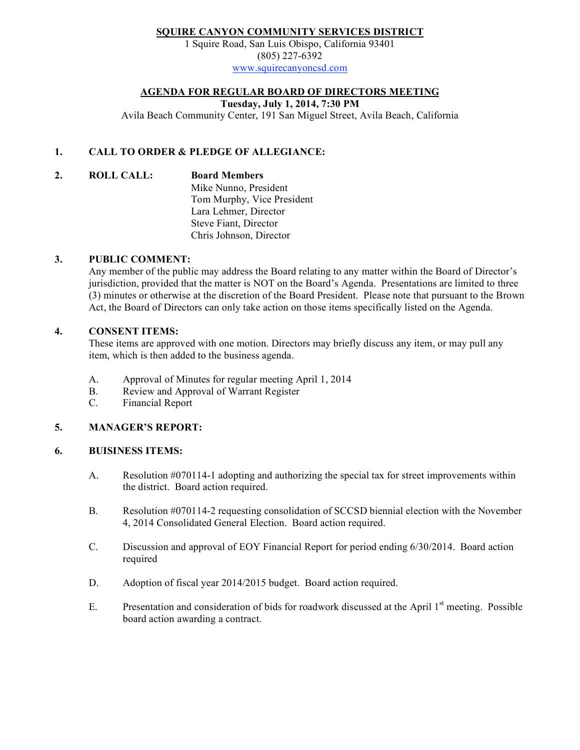# **SQUIRE CANYON COMMUNITY SERVICES DISTRICT**

1 Squire Road, San Luis Obispo, California 93401 (805) 227-6392 www.squirecanyoncsd.com

# **AGENDA FOR REGULAR BOARD OF DIRECTORS MEETING**

**Tuesday, July 1, 2014, 7:30 PM**

Avila Beach Community Center, 191 San Miguel Street, Avila Beach, California

## **1. CALL TO ORDER & PLEDGE OF ALLEGIANCE:**

**2. ROLL CALL: Board Members**

Mike Nunno, President Tom Murphy, Vice President Lara Lehmer, Director Steve Fiant, Director Chris Johnson, Director

#### **3. PUBLIC COMMENT:**

Any member of the public may address the Board relating to any matter within the Board of Director's jurisdiction, provided that the matter is NOT on the Board's Agenda. Presentations are limited to three (3) minutes or otherwise at the discretion of the Board President. Please note that pursuant to the Brown Act, the Board of Directors can only take action on those items specifically listed on the Agenda.

### **4. CONSENT ITEMS:**

These items are approved with one motion. Directors may briefly discuss any item, or may pull any item, which is then added to the business agenda.

- A. Approval of Minutes for regular meeting April 1, 2014
- B. Review and Approval of Warrant Register
- C. Financial Report

### **5. MANAGER'S REPORT:**

#### **6. BUISINESS ITEMS:**

- A. Resolution #070114-1 adopting and authorizing the special tax for street improvements within the district. Board action required.
- B. Resolution #070114-2 requesting consolidation of SCCSD biennial election with the November 4, 2014 Consolidated General Election. Board action required.
- C. Discussion and approval of EOY Financial Report for period ending 6/30/2014. Board action required
- D. Adoption of fiscal year 2014/2015 budget. Board action required.
- E. Presentation and consideration of bids for roadwork discussed at the April  $1<sup>st</sup>$  meeting. Possible board action awarding a contract.